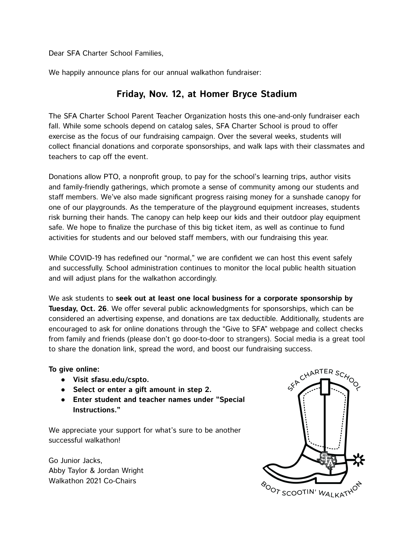Dear SFA Charter School Families,

We happily announce plans for our annual walkathon fundraiser:

### **Friday, Nov. 12, at Homer Bryce Stadium**

The SFA Charter School Parent Teacher Organization hosts this one-and-only fundraiser each fall. While some schools depend on catalog sales, SFA Charter School is proud to offer exercise as the focus of our fundraising campaign. Over the several weeks, students will collect financial donations and corporate sponsorships, and walk laps with their classmates and teachers to cap off the event.

Donations allow PTO, a nonprofit group, to pay for the school's learning trips, author visits and family-friendly gatherings, which promote a sense of community among our students and staff members. We've also made significant progress raising money for a sunshade canopy for one of our playgrounds. As the temperature of the playground equipment increases, students risk burning their hands. The canopy can help keep our kids and their outdoor play equipment safe. We hope to finalize the purchase of this big ticket item, as well as continue to fund activities for students and our beloved staff members, with our fundraising this year.

While COVID-19 has redefined our "normal," we are confident we can host this event safely and successfully. School administration continues to monitor the local public health situation and will adjust plans for the walkathon accordingly.

We ask students to **seek out at least one local business for a corporate sponsorship by Tuesday, Oct. 26**. We offer several public acknowledgments for sponsorships, which can be considered an advertising expense, and donations are tax deductible. Additionally, students are encouraged to ask for online donations through the "Give to SFA" webpage and collect checks from family and friends (please don't go door-to-door to strangers). Social media is a great tool to share the donation link, spread the word, and boost our fundraising success.

#### **To give online:**

- **● Visit sfasu.edu/cspto.**
- **● Select or enter a gift amount in step 2.**
- **● Enter student and teacher names under "Special Instructions."**

We appreciate your support for what's sure to be another successful walkathon!

Go Junior Jacks, Abby Taylor & Jordan Wright Walkathon 2021 Co-Chairs

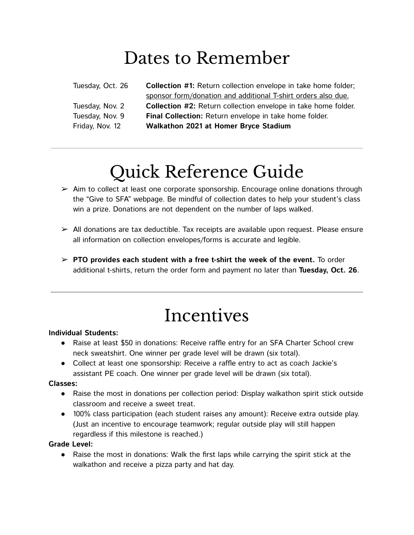## Dates to Remember

Tuesday, Oct. 26 **Collection #1:** Return collection envelope in take home folder; sponsor form/donation and additional T-shirt orders also due. Tuesday, Nov. 2 **Collection #2:** Return collection envelope in take home folder. Tuesday, Nov. 9 **Final Collection:** Return envelope in take home folder. Friday, Nov. 12 **Walkathon 2021 at Homer Bryce Stadium**

# Quick Reference Guide

- $\triangleright$  Aim to collect at least one corporate sponsorship. Encourage online donations through the "Give to SFA" webpage. Be mindful of collection dates to help your student's class win a prize. Donations are not dependent on the number of laps walked.
- $\triangleright$  All donations are tax deductible. Tax receipts are available upon request. Please ensure all information on collection envelopes/forms is accurate and legible.
- ➢ **PTO provides each student with a free t-shirt the week of the event.** To order additional t-shirts, return the order form and payment no later than **Tuesday, Oct. 26**.

## Incentives

#### **Individual Students:**

- Raise at least \$50 in donations: Receive raffle entry for an SFA Charter School crew neck sweatshirt. One winner per grade level will be drawn (six total).
- Collect at least one sponsorship: Receive a raffle entry to act as coach Jackie's assistant PE coach. One winner per grade level will be drawn (six total).

#### **Classes:**

- Raise the most in donations per collection period: Display walkathon spirit stick outside classroom and receive a sweet treat.
- 100% class participation (each student raises any amount): Receive extra outside play. (Just an incentive to encourage teamwork; regular outside play will still happen regardless if this milestone is reached.)

#### **Grade Level:**

● Raise the most in donations: Walk the first laps while carrying the spirit stick at the walkathon and receive a pizza party and hat day.